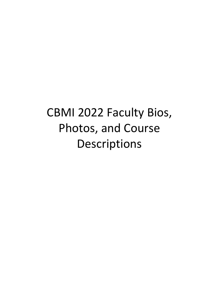# CBMI 2022 Faculty Bios, Photos, and Course Descriptions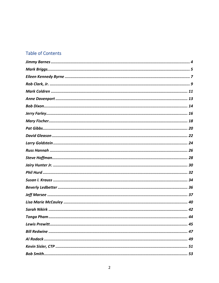# **Table of Contents**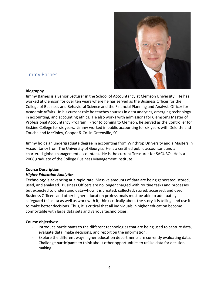

# <span id="page-3-0"></span>Jimmy Barnes

# **Biography**

Jimmy Barnes is a Senior Lecturer in the School of Accountancy at Clemson University. He has worked at Clemson for over ten years where he has served as the Business Officer for the College of Business and Behavioral Science and the Financial Planning and Analysis Officer for Academic Affairs. In his current role he teaches courses in data analytics, emerging technology in accounting, and accounting ethics. He also works with admissions for Clemson's Master of Professional Accountancy Program. Prior to coming to Clemson, he served as the Controller for Erskine College for six years. Jimmy worked in public accounting for six years with Deloitte and Touche and McKinley, Cooper & Co. in Greenville, SC.

Jimmy holds an undergraduate degree in accounting from Winthrop University and a Masters in Accountancy from The University of Georgia. He is a certified public accountant and a chartered global management accountant. He is the current Treasurer for SACUBO. He is a 2008 graduate of the College Business Management Institute.

# **Course Description**

# *Higher Education Analytics*

Technology is advancing at a rapid rate. Massive amounts of data are being generated, stored, used, and analyzed. Business Officers are no longer charged with routine tasks and processes but expected to understand data—how it is created, collected, stored, accessed, and used. Business Officers and other higher education professionals must be able to adequately safeguard this data as well as work with it, think critically about the story it is telling, and use it to make better decisions. Thus, it is critical that all individuals in higher education become comfortable with large data sets and various technologies.

# **Course objectives:**

- Introduce participants to the different technologies that are being used to capture data, evaluate data, make decisions, and report on the information.
- Explore the different ways higher education departments are currently evaluating data.
- Challenge participants to think about other opportunities to utilize data for decision making.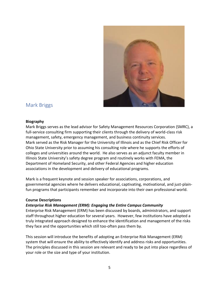<span id="page-4-0"></span>

# Mark Briggs

# **Biography**

Mark Briggs serves as the lead advisor for Safety Management Resources Corporation (SMRC), a full-service consulting firm supporting their clients through the delivery of world-class risk management, safety, emergency management, and business continuity services. Mark served as the Risk Manager for the University of Illinois and as the Chief Risk Officer for Ohio State University prior to assuming his consulting role where he supports the efforts of colleges and universities around the world. He also serves as an adjunct faculty member in Illinois State University's safety degree program and routinely works with FEMA, the Department of Homeland Security, and other Federal Agencies and higher education associations in the development and delivery of educational programs.

Mark is a frequent keynote and session speaker for associations, corporations, and governmental agencies where he delivers educational, captivating, motivational, and just-plainfun programs that participants remember and incorporate into their own professional world.

# **Course Descriptions**

# *Enterprise Risk Management (ERM): Engaging the Entire Campus Community*

Enterprise Risk Management (ERM) has been discussed by boards, administrators, and support staff throughout higher education for several years. However, few institutions have adopted a truly integrated approach designed to enhance the identification and management of the risks they face and the opportunities which still too-often pass them by.

This session will introduce the benefits of adopting an Enterprise Risk Management (ERM) system that will ensure the ability to effectively identify and address risks and opportunities. The principles discussed in this session are relevant and ready to be put into place regardless of your role or the size and type of your institution.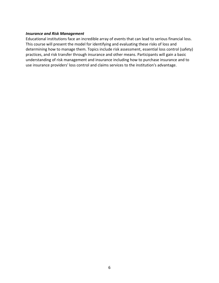#### *Insurance and Risk Management*

Educational institutions face an incredible array of events that can lead to serious financial loss. This course will present the model for identifying and evaluating these risks of loss and determining how to manage them. Topics include risk assessment, essential loss control (safety) practices, and risk transfer through insurance and other means. Participants will gain a basic understanding of risk management and insurance including how to purchase insurance and to use insurance providers' loss control and claims services to the institution's advantage.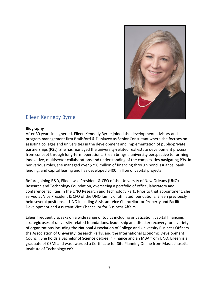

# <span id="page-6-0"></span>Eileen Kennedy Byrne

# **Biography**

After 30 years in higher ed, Eileen Kennedy Byrne joined the development advisory and program management firm Brailsford & Dunlavey as Senior Consultant where she focuses on assisting colleges and universities in the development and implementation of public-private partnerships (P3s). She has managed the university-related real estate development process from concept through long-term operations. Eileen brings a university perspective to forming innovative, multisector collaborations and understanding of the complexities navigating P3s. In her various roles, she managed over \$250 million of financing through bond issuance, bank lending, and capital leasing and has developed \$400 million of capital projects.

Before joining B&D, Eileen was President & CEO of the University of New Orleans (UNO) Research and Technology Foundation, overseeing a portfolio of office, laboratory and conference facilities in the UNO Research and Technology Park. Prior to that appointment, she served as Vice President & CFO of the UNO family of affiliated foundations. Eileen previously held several positions at UNO including Assistant Vice Chancellor for Property and Facilities Development and Assistant Vice Chancellor for Business Affairs.

Eileen frequently speaks on a wide range of topics including privatization, capital financing, strategic uses of university-related foundations, leadership and disaster recovery for a variety of organizations including the National Association of College and University Business Officers, the Association of University Research Parks, and the International Economic Development Council. She holds a Bachelor of Science degree in Finance and an MBA from UNO. Eileen is a graduate of CBMI and was awarded a Certificate for Site Planning Online from Massachusetts Institute of Technology edX.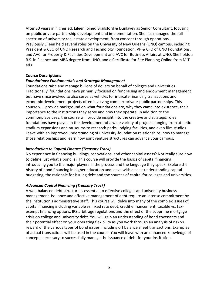After 30 years in higher ed, Eileen joined Brailsford & Dunlavey as Senior Consultant, focusing on public private partnership development and implementation. She has managed the full spectrum of university real estate development, from concept through operations. Previously Eileen held several roles on the University of New Orleans (UNO) campus, including President & CEO of UNO Research and Technology Foundation, VP & CFO of UNO Foundations, and AVC for Property & Facilities Development and AVC for Business Affairs at UNO. She holds a B.S. in Finance and MBA degree from UNO, and a Certificate for Site Planning Online from MIT edX.

# **Course Descriptions**

# *Foundations: Fundamentals and Strategic Management*

Foundations raise and manage billions of dollars on behalf of colleges and universities. Traditionally, foundations have primarily focused on fundraising and endowment management but have since evolved to also serve as vehicles for intricate financing transactions and economic development projects often involving complex private-public partnerships. This course will provide background on what foundations are, why they came into existence, their importance to the institutions they serve and how they operate. In addition to the commonplace uses, the course will provide insight into the creative and strategic roles foundations have played in the development of a wide variety of projects ranging from athletic stadium expansions and museums to research parks, lodging facilities, and even film studios. Leave with an improved understanding of university-foundation relationships, how to manage those relationships and learn how joint venture structures can advance your campus.

# *Introduction to Capital Finance (Treasury Track)*

No experience in financing buildings, renovations, and other capital assets? Not really sure how to define just what a bond is? This course will provide the basics of capital financing, introducing you to the major players in the process and the language they speak. Explore the history of bond financing in higher education and leave with a basic understanding capital budgeting, the rationale for issuing debt and the sources of capital for colleges and universities.

# *Advanced Capital Financing (Treasury Track)*

A well-balanced debt structure is essential to effective colleges and university business management. Issuance and effective management of debt require an intense commitment by the institution's administrative staff. This course will delve into many of the complex issues of capital financing including variable vs. fixed rate debt, credit enhancement, taxable vs. taxexempt financing options, IRS arbitrage regulations and the effect of the subprime mortgage crisis on college and university debt. You will gain an understanding of bond covenants and their potential effect on your operating flexibility as you work through an analysis of risk vs. reward of the various types of bond issues, including off balance sheet transactions. Examples of actual transactions will be used in the course. You will leave with an enhanced knowledge of concepts necessary to successfully manage the issuance of debt for your institution.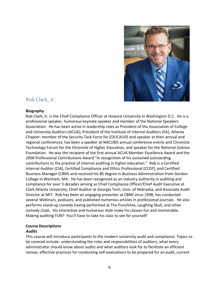

# <span id="page-8-0"></span>Rob Clark, Jr.

#### **Biography**

Rob Clark, Jr. is the Chief Compliance Officer at Howard University in Washington D.C. He is a professional speaker, humorous keynote speaker and member of the National Speakers Association. He has been active in leadership roles as President of the Association of College and University Auditors (ACUA); President of the Institute of Internal Auditors (IIA), Atlanta Chapter; member of the Security Task Force for EDUCAUSE and speaker at their annual and regional conferences; has been a speaker at NACUBO annual conference events and Chronicle Technology Forum for the Chronicle of Higher Education; and speaker for the National Science Foundation. He was the recipient of the first annual ACUA Member Excellence Award and the 2006 Professional Contributions Award "in recognition of his sustained outstanding contributions to the practice of internal auditing in higher education." Rob is a Certified Internal Auditor (CIA), Certified Compliance and Ethics Professional (CCEP), and Certified Business Manager (CBM) and received his BS degree in Business Administration from Gordon College in Wenham, MA. He has been recognized as an industry authority in auditing and compliance for over 3 decades serving as Chief Compliance Officer/Chief Audit Executive at Clark Atlanta University; Chief Auditor at Georgia Tech, Univ. of Nebraska, and Associate Audit Director at MIT. Rob has been an engaging presenter at CBMI since 1998, has conducted several Webinars, podcasts, and published numerous articles in professional journals. He also performs stand-up comedy having performed at The Punchline, Laughing Skull, and other comedy clubs. His interactive and humorous style make his classes fun and memorable. Making auditing FUN? You'll have to take his class to see for yourself!

# **Course Descriptions**

# *Audits*

This course will introduce participants to the modern university audit and compliance. Topics to be covered include: understanding the roles and responsibilities of auditors, what every administrator should know about audits and what auditors look for to facilitate an efficient review, effective practices for conducting self-evaluations to be prepared for an audit, current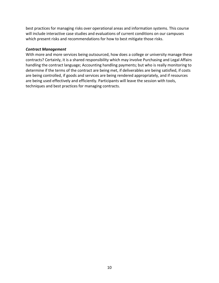best practices for managing risks over operational areas and information systems. This course will include interactive case studies and evaluations of current conditions on our campuses which present risks and recommendations for how to best mitigate those risks.

# *Contract Management*

With more and more services being outsourced, how does a college or university manage these contracts? Certainly, it is a shared responsibility which may involve Purchasing and Legal Affairs handling the contract language; Accounting handling payments; but who is really monitoring to determine if the terms of the contract are being met, if deliverables are being satisfied, if costs are being controlled, if goods and services are being rendered appropriately, and if resources are being used effectively and efficiently. Participants will leave the session with tools, techniques and best practices for managing contracts.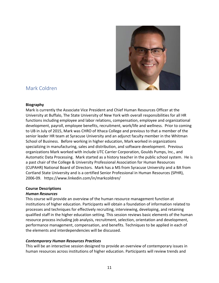

# <span id="page-10-0"></span>Mark Coldren

# **Biography**

Mark is currently the Associate Vice President and Chief Human Resources Officer at the University at Buffalo, The State University of New York with overall responsibilities for all HR functions including employee and labor relations, compensation, employee and organizational development, payroll, employee benefits, recruitment, work/life and wellness. Prior to coming to UB in July of 2015, Mark was CHRO of Ithaca College and previous to that a member of the senior leader HR team at Syracuse University and an adjunct faculty member in the Whitman School of Business. Before working in higher education, Mark worked in organizations specializing in manufacturing, sales and distribution, and software development. Previous organizations Mark worked with include UTC Carrier Corporation, Goulds Pumps, Inc., and Automatic Data Processing. Mark started as a history teacher in the public school system. He is a past chair of the College & University Professional Association for Human Resources (CUPAHR) National Board of Directors. Mark has a MS from Syracuse University and a BA from Cortland State University and is a certified Senior Professional in Human Resources (SPHR), 2006-09. https://www.linkedin.com/in/markcoldren/

# **Course Descriptions**

# *Human Resources*

This course will provide an overview of the human resource management function at institutions of higher education. Participants will obtain a foundation of information related to processes and techniques for effectively recruiting, interviewing, developing, and retaining qualified staff in the higher education setting. This session reviews basic elements of the human resource process including job analysis, recruitment, selection, orientation and development, performance management, compensation, and benefits. Techniques to be applied in each of the elements and interdependencies will be discussed.

# *Contemporary Human Resources Practices*

This will be an interactive session designed to provide an overview of contemporary issues in human resources across institutions of higher education. Participants will review trends and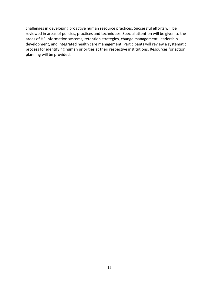challenges in developing proactive human resource practices. Successful efforts will be reviewed in areas of policies, practices and techniques. Special attention will be given to the areas of HR information systems, retention strategies, change management, leadership development, and integrated health care management. Participants will review a systematic process for identifying human priorities at their respective institutions. Resources for action planning will be provided.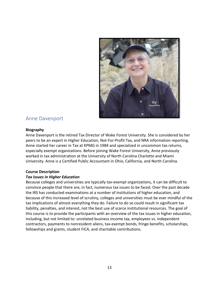<span id="page-12-0"></span>

# Anne Davenport

#### **Biography**

Anne Davenport is the retired Tax Director of Wake Forest University. She is considered by her peers to be an expert in Higher Education, Not-For-Profit Tax, and NRA information reporting. Anne started her career in Tax at KPMG in 1984 and specialized in uncommon tax returns, especially exempt organizations. Before joining Wake Forest University, Anne previously worked in tax administration at the University of North Carolina Charlotte and Miami University. Anne is a Certified Public Accountant in Ohio, California, and North Carolina.

# **Course Description**

# *Tax Issues in Higher Education*

Because colleges and universities are typically tax-exempt organizations, it can be difficult to convince people that there are, in fact, numerous tax issues to be faced. Over the past decade the IRS has conducted examinations at a number of institutions of higher education, and because of this increased level of scrutiny, colleges and universities must be ever mindful of the tax implications of almost everything they do. Failure to do so could result in significant tax liability, penalties, and interest, not the best use of scarce institutional resources. The goal of this course is to provide the participants with an overview of the tax issues in higher education, including, but not limited to: unrelated business income tax, employees vs. independent contractors, payments to nonresident aliens, tax-exempt bonds, fringe benefits, scholarships, fellowships and grants, student FICA, and charitable contributions.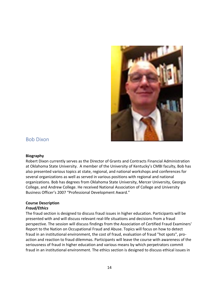<span id="page-13-0"></span>

# Bob Dixon

#### **Biography**

Robert Dixon currently serves as the Director of Grants and Contracts Financial Administration at Oklahoma State University. A member of the University of Kentucky's CMBI faculty, Bob has also presented various topics at state, regional, and national workshops and conferences for several organizations as well as served in various positions with regional and national organizations. Bob has degrees from Oklahoma State University, Mercer University, Georgia College, and Andrew College. He received National Association of College and University Business Officer's 2007 "Professional Development Award."

# **Course Description**

# *Fraud/Ethics*

The fraud section is designed to discuss fraud issues in higher education. Participants will be presented with and will discuss relevant real-life situations and decisions from a fraud perspective. The session will discuss findings from the Association of Certified Fraud Examiners' Report to the Nation on Occupational Fraud and Abuse. Topics will focus on how to detect fraud in an institutional environment, the cost of fraud, evaluation of fraud "hot spots", proaction and reaction to fraud dilemmas. Participants will leave the course with awareness of the seriousness of fraud in higher education and various means by which perpetrators commit fraud in an institutional environment. The ethics section is designed to discuss ethical issues in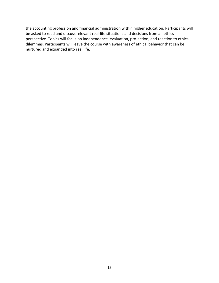the accounting profession and financial administration within higher education. Participants will be asked to read and discuss relevant real-life situations and decisions from an ethics perspective. Topics will focus on independence, evaluation, pro-action, and reaction to ethical dilemmas. Participants will leave the course with awareness of ethical behavior that can be nurtured and expanded into real life.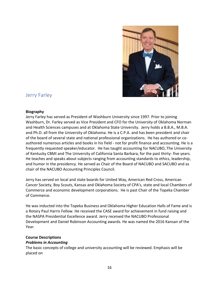

# <span id="page-15-0"></span>Jerry Farley

#### **Biography**

Jerry Farley has served as President of Washburn University since 1997. Prior to joining Washburn, Dr. Farley served as Vice President and CFO for the University of Oklahoma Norman and Health Sciences campuses and at Oklahoma State University. Jerry holds a B.B.A., M.B.A. and Ph.D. all from the University of Oklahoma. He is a C.P.A. and has been president and chair of the board of several state and national professional organizations. He has authored or coauthored numerous articles and books in his field - not for profit finance and accounting. He is a frequently requested speaker/educator. He has taught accounting for NACUBO, The University of Kentucky CBMI and The University of California Santa Barbara, for the past thirty- five years. He teaches and speaks about subjects ranging from accounting standards to ethics, leadership, and humor in the presidency. He served as Chair of the Board of NACUBO and SACUBO and as chair of the NACUBO Accounting Principles Council.

Jerry has served on local and state boards for United Way, American Red Cross, American Cancer Society, Boy Scouts, Kansas and Oklahoma Society of CPA's, state and local Chambers of Commerce and economic development corporations. He is past Chair of the Topeka Chamber of Commerce.

He was inducted into the Topeka Business and Oklahoma Higher Education Halls of Fame and is a Rotary Paul Harris Fellow. He received the CASE award for achievement in fund raising and the NASPA Presidential Excellence award. Jerry received the NACUBO Professional Development and Daniel Robinson Accounting awards. He was named the 2016 Kansan of the Year.

# **Course Descriptions**

# *Problems in Accounting*

The basic concepts of college and university accounting will be reviewed. Emphasis will be placed on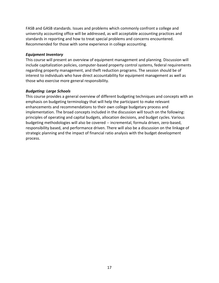FASB and GASB standards. Issues and problems which commonly confront a college and university accounting office will be addressed, as will acceptable accounting practices and standards in reporting and how to treat special problems and concerns encountered. Recommended for those with some experience in college accounting.

# *Equipment Inventory*

This course will present an overview of equipment management and planning. Discussion will include capitalization policies, computer-based property control systems, federal requirements regarding property management, and theft reduction programs. The session should be of interest to individuals who have direct accountability for equipment management as well as those who exercise more general responsibility.

#### *Budgeting: Large Schools*

This course provides a general overview of different budgeting techniques and concepts with an emphasis on budgeting terminology that will help the participant to make relevant enhancements and recommendations to their own college budgetary process and implementation. The broad concepts included in the discussion will touch on the following: principles of operating and capital budgets, allocation decisions, and budget cycles. Various budgeting methodologies will also be covered -- incremental, formula driven, zero-based, responsibility based, and performance driven. There will also be a discussion on the linkage of strategic planning and the impact of financial ratio analysis with the budget development process.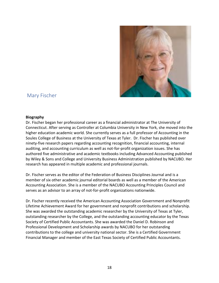

# <span id="page-17-0"></span>Mary Fischer

#### **Biography**

Dr. Fischer began her professional career as a financial administrator at The University of Connecticut. After serving as Controller at Columbia University in New York, she moved into the higher education academic world. She currently serves as a full professor of Accounting in the Soules College of Business at the University of Texas at Tyler. Dr. Fischer has published over ninety-five research papers regarding accounting recognition, financial accounting, internal auditing, and accounting curriculum as well as not-for-profit organization issues. She has authored five administrative and academic textbooks including Advanced Accounting published by Wiley & Sons and College and University Business Administration published by NACUBO. Her research has appeared in multiple academic and professional journals.

Dr. Fischer serves as the editor of the Federation of Business Disciplines Journal and is a member of six other academic journal editorial boards as well as a member of the American Accounting Association. She is a member of the NACUBO Accounting Principles Council and serves as an advisor to an array of not-for-profit organizations nationwide.

Dr. Fischer recently received the American Accounting Association Government and Nonprofit Lifetime Achievement Award for her government and nonprofit contributions and scholarship. She was awarded the outstanding academic researcher by the University of Texas at Tyler, outstanding researcher by the College, and the outstanding accounting educator by the Texas Society of Certified Public Accountants. She was awarded the Daniel D. Robinson and Professional Development and Scholarship awards by NACUBO for her outstanding contributions to the college and university national sector. She is a Certified Government Financial Manager and member of the East Texas Society of Certified Public Accountants.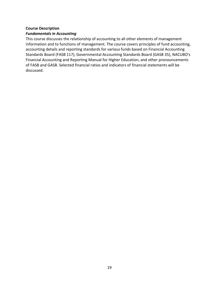# **Course Description**

# *Fundamentals in Accounting*

This course discusses the relationship of accounting to all other elements of management information and to functions of management. The course covers principles of fund accounting, accounting details and reporting standards for various funds based on Financial Accounting Standards Board (FASB 117), Governmental Accounting Standards Board (GASB 35), NACUBO's Financial Accounting and Reporting Manual for Higher Education, and other pronouncements of FASB and GASB. Selected financial ratios and indicators of financial statements will be discussed.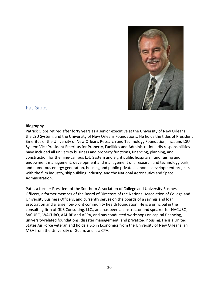

# <span id="page-19-0"></span>Pat Gibbs

#### **Biography**

Patrick Gibbs retired after forty years as a senior executive at the University of New Orleans, the LSU System, and the University of New Orleans Foundations. He holds the titles of President Emeritus of the University of New Orleans Research and Technology Foundation, Inc., and LSU System Vice President Emeritus for Property, Facilities and Administration. His responsibilities have included all university business and property functions, financing, planning, and construction for the nine-campus LSU System and eight public hospitals, fund raising and endowment management, development and management of a research and technology park, and numerous energy generation, housing and public-private economic development projects with the film industry, shipbuilding industry, and the National Aeronautics and Space Administration.

Pat is a former President of the Southern Association of College and University Business Officers, a former member of the Board of Directors of the National Association of College and University Business Officers, and currently serves on the boards of a savings and loan association and a large non-profit community health foundation. He is a principal in the consulting firm of GKB Consulting. LLC., and has been an instructor and speaker for NACUBO, SACUBO, WACUBO, AAURP and APPA, and has conducted workshops on capital financing, university-related foundations, disaster management, and privatized housing. He is a United States Air Force veteran and holds a B.S in Economics from the University of New Orleans, an MBA from the University of Guam, and is a CPA.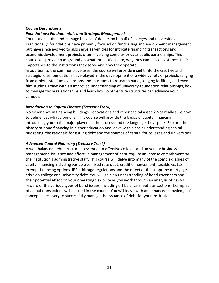# **Course Descriptions**

# *Foundations: Fundamentals and Strategic Management*

Foundations raise and manage billions of dollars on behalf of colleges and universities. Traditionally, foundations have primarily focused on fundraising and endowment management but have since evolved to also serve as vehicles for intricate financing transactions and economic development projects often involving complex private-public partnerships. This course will provide background on what foundations are, why they came into existence, their importance to the institutions they serve and how they operate.

In addition to the commonplace uses, the course will provide insight into the creative and strategic roles foundations have played in the development of a wide variety of projects ranging from athletic stadium expansions and museums to research parks, lodging facilities, and even film studios. Leave with an improved understanding of university-foundation relationships, how to manage those relationships and learn how joint venture structures can advance your campus.

# *Introduction to Capital Finance (Treasury Track)*

No experience in financing buildings, renovations and other capital assets? Not really sure how to define just what a bond is? This course will provide the basics of capital financing, introducing you to the major players in the process and the language they speak. Explore the history of bond financing in higher education and leave with a basic understanding capital budgeting, the rationale for issuing debt and the sources of capital for colleges and universities.

# *Advanced Capital Financing (Treasury Track)*

A well-balanced debt structure is essential to effective colleges and university business management. Issuance and effective management of debt require an intense commitment by the institution's administrative staff. This course will delve into many of the complex issues of capital financing including variable vs. fixed rate debt, credit enhancement, taxable vs. taxexempt financing options, IRS arbitrage regulations and the effect of the subprime mortgage crisis on college and university debt. You will gain an understanding of bond covenants and their potential effect on your operating flexibility as you work through an analysis of risk vs. reward of the various types of bond issues, including off balance sheet transactions. Examples of actual transactions will be used in the course. You will leave with an enhanced knowledge of concepts necessary to successfully manage the issuance of debt for your institution.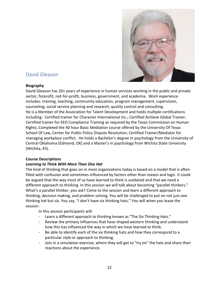

# <span id="page-21-0"></span>David Gleason

# **Biography**

David Gleason has 20+ years of experience in human services working in the public and private sector, forprofit, not-for-profit, business, government, and academia. Work experience includes: training, teaching, community education, program management, supervision, counseling, social service planning and research, quality control and consulting. He is a Member of the Association for Talent Development and holds multiple certifications including: Certified trainer for Character International Inc.; Certified Achieve Global Trainer; Certified trainer for EEO Compliance Training as required by the Texas Commission on Human Rights; Completed the 40 hour Basic Mediation course offered by the University Of Texas School Of Law, Center for Public Policy Dispute Resolution; Certified Trainer/Mediator for managing workplace conflict. He holds a Bachelor's degree in psychology from the University of Central Oklahoma (Edmond, OK) and a Master's in psychology from Wichita State University (Wichita, KS).

# **Course Descriptions**

# *Learning to Think With More Than One Hat*

The kind of thinking that goes on in most organizations today is based on a model that is often filled with confusion and sometimes influenced by factors other than reason and logic. It could be argued that the way most of us have learned to think is outdated and that we need a different approach to thinking. In this session we will talk about becoming "parallel thinkers." What's a parallel thinker, you ask? Come to the session and learn a different approach to thinking, decision making, and problem solving. You will be challenged to put on not just one thinking hat but six. You say, "I don't have six thinking hats." You will when you leave the session.

In this session participants will:

- Learn a different approach to thinking known as "The Six Thinking Hats."
- Review the primary influences that have shaped western thinking and understand how this has influenced the way in which we have learned to think.
- Be able to identify each of the six thinking hats and how they correspond to a particular style or approach to thinking.
- Join in a simulation exercise, where they will get to "try on" the hats and share their reactions about the experience.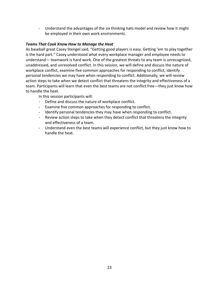- Understand the advantages of the six thinking hats model and review how it might be employed in their own work environments.

# *Teams That Cook Know How to Manage the Heat*

As baseball great Casey Stengel said, "Getting good players is easy. Getting 'em to play together is the hard part." Casey understood what every workplace manager and employee needs to understand— teamwork is hard work. One of the greatest threats to any team is unrecognized, unaddressed, and unresolved conflict. In this session, we will define and discuss the nature of workplace conflict, examine five common approaches for responding to conflict, identify personal tendencies we may have when responding to conflict. Additionally, we will review action steps to take when we detect conflict that threatens the integrity and effectiveness of a team. Participants will learn that even the best teams are not conflict free—they just know how to handle the heat.

In this session participants will:

- Define and discuss the nature of workplace conflict.
- Examine five common approaches for responding to conflict.
- Identify personal tendencies they may have when responding to conflict.
- Review action steps to take when they detect conflict that threatens the integrity and effectiveness of a team.
- Understand even the best teams will experience conflict, but they just know how to handle the heat.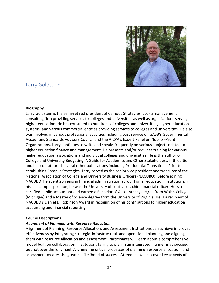

# <span id="page-23-0"></span>Larry Goldstein

# **Biography**

Larry Goldstein is the semi-retired president of Campus Strategies, LLC- a management consulting firm providing services to colleges and universities as well as organizations serving higher education. He has consulted to hundreds of colleges and universities, higher education systems, and various commercial entities providing services to colleges and universities. He also was involved in various professional activities including past service on GASB's Governmental Accounting Standards Advisory Council and the AICPA's Expert Panel on Not-for-Profit Organizations. Larry continues to write and speaks frequently on various subjects related to higher education finance and management. He presents and/or provides training for various higher education associations and individual colleges and universities. He is the author of College and University Budgeting: A Guide for Academics and Other Stakeholders, fifth edition, and has co-authored several other publications including Presidential Transitions. Prior to establishing Campus Strategies, Larry served as the senior vice president and treasurer of the National Association of College and University Business Officers (NACUBO). Before joining NACUBO, he spent 20 years in financial administration at four higher education institutions. In his last campus position, he was the University of Louisville's chief financial officer. He is a certified public accountant and earned a Bachelor of Accountancy degree from Walsh College (Michigan) and a Master of Science degree from the University of Virginia. He is a recipient of NACUBO's Daniel D. Robinson Award in recognition of his contributions to higher education accounting and financial reporting.

# **Course Descriptions**

# *Alignment of Planning with Resource Allocation*

Alignment of Planning, Resource Allocation, and Assessment Institutions can achieve improved effectiveness by integrating strategic, infrastructural, and operational planning and aligning them with resource allocation and assessment. Participants will learn about a comprehensive model built on collaboration. Institutions failing to plan in an integrated manner may succeed, but not over the long haul. Aligning the critical processes of planning, resource allocation, and assessment creates the greatest likelihood of success. Attendees will discover key aspects of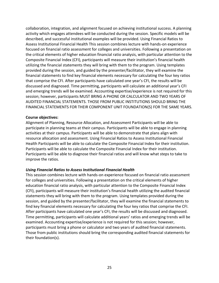collaboration, integration, and alignment focused on achieving institutional success. A planning activity which engages attendees will be conducted during the session. Specific models will be described, and successful institutional examples will be provided. Using Financial Ratios to Assess Institutional Financial Health This session combines lecture with hands-on experience focused on financial ratio assessment for colleges and universities. Following a presentation on the critical elements of higher education financial ratio analysis, with particular attention to the Composite Financial Index (CFI), participants will measure their institution's financial health utilizing the financial statements they will bring with them to the program. Using templates provided during the session, and guided by the presenter/facilitator, they will examine the financial statements to find key financial elements necessary for calculating the four key ratios that comprise the CFI. After participants have calculated one year's CFI, the results will be discussed and diagnosed. Time permitting, participants will calculate an additional year's CFI and emerging trends will be examined. Accounting expertise/experience is not required for this session; however, participants MUST BRING A PHONE OR CALCULATOR AND TWO YEARS OF AUDITED FINANCIAL STATEMENTS. THOSE FROM PUBLIC INSTITUTIONS SHOULD BRING THE FINANCIAL STATEMENTS FOR THEIR COMPONENT UNIT FOUNDATION(S) FOR THE SAME YEARS.

#### **Course objectives:**

Alignment of Planning, Resource Allocation, and Assessment Participants will be able to participate in planning teams at their campus. Participants will be able to engage in planning activities at their campus. Participants will be able to demonstrate that plans align with resource allocation and assessment. Using Financial Ratios to Assess Institutional Financial Health Participants will be able to calculate the Composite Financial Index for their institution. Participants will be able to calculate the Composite Financial Index for their institution. Participants will be able to diagnose their financial ratios and will know what steps to take to improve the ratios.

# *Using Financial Ratios to Assess Institutional Financial Health*

This session combines lecture with hands-on experience focused on financial ratio assessment for colleges and universities. Following a presentation on the critical elements of higher education financial ratio analysis, with particular attention to the Composite Financial Index (CFI), participants will measure their institution's financial health utilizing the audited financial statements they will bring with them to the program. Using templates provided during the session, and guided by the presenter/facilitator, they will examine the financial statements to find key financial elements necessary for calculating the four key ratios that comprise the CFI. After participants have calculated one year's CFI, the results will be discussed and diagnosed. Time permitting, participants will calculate additional years' ratios and emerging trends will be examined. Accounting expertise/experience is not required for this session; however, participants must bring a phone or calculator and two years of audited financial statements. Those from public institutions should bring the corresponding audited financial statements for their foundation(s).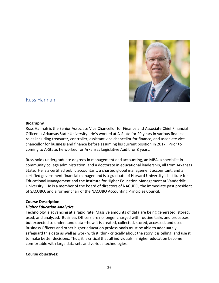

# <span id="page-25-0"></span>Russ Hannah

#### **Biography**

Russ Hannah is the Senior Associate Vice Chancellor for Finance and Associate Chief Financial Officer at Arkansas State University. He's worked at A-State for 29 years in various financial roles including treasurer, controller, assistant vice chancellor for finance, and associate vice chancellor for business and finance before assuming his current position in 2017. Prior to coming to A-State, he worked for Arkansas Legislative Audit for 8 years.

Russ holds undergraduate degrees in management and accounting, an MBA, a specialist in community college administration, and a doctorate in educational leadership, all from Arkansas State. He is a certified public accountant, a charted global management accountant, and a certified government financial manager and is a graduate of Harvard University's Institute for Educational Management and the Institute for Higher Education Management at Vanderbilt University. He is a member of the board of directors of NACUBO, the immediate past president of SACUBO, and a former chair of the NACUBO Accounting Principles Council.

#### **Course Description**

# *Higher Education Analytics*

Technology is advancing at a rapid rate. Massive amounts of data are being generated, stored, used, and analyzed. Business Officers are no longer charged with routine tasks and processes but expected to understand data—how it is created, collected, stored, accessed, and used. Business Officers and other higher education professionals must be able to adequately safeguard this data as well as work with it, think critically about the story it is telling, and use it to make better decisions. Thus, it is critical that all individuals in higher education become comfortable with large data sets and various technologies.

# **Course objectives:**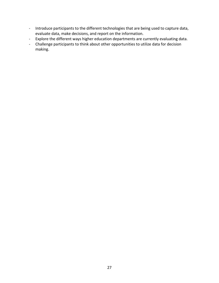- Introduce participants to the different technologies that are being used to capture data, evaluate data, make decisions, and report on the information.
- Explore the different ways higher education departments are currently evaluating data.
- Challenge participants to think about other opportunities to utilize data for decision making.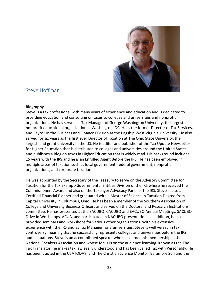

# <span id="page-27-0"></span>Steve Hoffman

#### **Biography**

Steve is a tax professional with many years of experience and education and is dedicated to providing education and consulting on taxes to colleges and universities and nonprofit organizations. He has served as Tax Manager of George Washington University, the largest nonprofit educational organization in Washington, DC. He is the former Director of Tax Services, and Payroll in the Business and Finance Division at the flagship West Virginia University. He also served for six years as the first ever Director of Taxation at The Ohio State University, the largest land grant university in the US. He is editor and publisher of the Tax Update Newsletter for Higher Education that is distributed to colleges and universities around the United States and publishes a Blog on taxes in Higher Education that is widely read. His background includes 15 years with the IRS and he is an Enrolled Agent Before the IRS. He has been employed in multiple areas of taxation such as local government, federal government, nonprofit organizations, and corporate taxation.

He was appointed by the Secretary of the Treasury to serve on the Advisory Committee for Taxation for the Tax Exempt/Governmental Entities Division of the IRS where he received the Commissioners Award and also on the Taxpayer Advocacy Panel of the IRS. Steve is also a Certified Financial Planner and graduated with a Master of Science in Taxation Degree from Capital University in Columbus, Ohio. He has been a member of the Southern Association of College and University Business Officers and served on the Doctoral and Research Institutions committee. He has presented at the SACUBO, CACUBO and EACUBO Annual Meetings, SACUBO Drive In Workshops, ACUA, and participated in NACUBO presentations. In addition, he has provided seminars and workshops for various other organizations. With his extensive experience with the IRS and as Tax Manager for 3 universities, Steve is well versed in tax controversy meaning that he successfully represents colleges and universities before the IRS in audit situations. Steve is an accomplished speaker who has earned his membership in the National Speakers Association and whose focus is on the audience learning. Known as the The Tax Translator, he makes tax law easily understood and has been called Tax with Personality. He has been quoted in the USATODAY, and The Christian Science Monitor, Baltimore Sun and the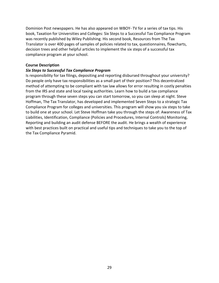Dominion Post newspapers. He has also appeared on WBOY- TV for a series of tax tips. His book, Taxation for Universities and Colleges: Six Steps to a Successful Tax Compliance Program was recently published by Wiley Publishing. His second book, Resources from The Tax Translator is over 400 pages of samples of policies related to tax, questionnaires, flowcharts, decision trees and other helpful articles to implement the six steps of a successful tax compliance program at your school.

#### **Course Description**

#### *Six Steps to Successful Tax Compliance Program*

Is responsibility for tax filings, depositing and reporting disbursed throughout your university? Do people only have tax responsibilities as a small part of their position? This decentralized method of attempting to be compliant with tax law allows for error resulting in costly penalties from the IRS and state and local taxing authorities. Learn how to build a tax compliance program through these seven steps you can start tomorrow, so you can sleep at night. Steve Hoffman, The Tax Translator, has developed and implemented Seven Steps to a strategic Tax Compliance Program for colleges and universities. This program will show you six steps to take to build one at your school. Let Steve Hoffman take you through the steps of: Awareness of Tax Liabilities, Identification, Compliance (Policies and Procedures, Internal Controls) Monitoring, Reporting and building an audit defense BEFORE the audit. He brings a wealth of experience with best practices built on practical and useful tips and techniques to take you to the top of the Tax Compliance Pyramid.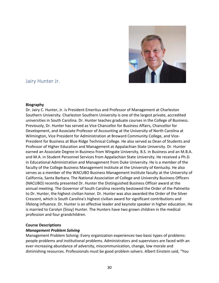

# <span id="page-29-0"></span>Jairy Hunter Jr.

#### **Biography**

Dr. Jairy C. Hunter, Jr. is President Emeritus and Professor of Management at Charleston Southern University. Charleston Southern University is one of the largest private, accredited universities in South Carolina. Dr. Hunter teaches graduate courses in the College of Business. Previously, Dr. Hunter has served as Vice Chancellor for Business Affairs, Chancellor for Development, and Associate Professor of Accounting at the University of North Carolina at Wilmington, Vice President for Administration at Broward Community College, and Vice-President for Business at Blue Ridge Technical College. He also served as Dean of Students and Professor of Higher Education and Management at Appalachian State University. Dr. Hunter earned an Associate Degree in Business from Wingate University, B.S. in Business and an M.B.A. and M.A. in Student Personnel Services from Appalachian State University. He received a Ph.D. in Educational Administration and Management from Duke University. He is a member of the faculty of the College Business Management Institute at the University of Kentucky. He also serves as a member of the WACUBO Business Management Institute faculty at the University of California, Santa Barbara. The National Association of College and University Business Officers (NACUBO) recently presented Dr. Hunter the Distinguished Business Officer award at the annual meeting. The Governor of South Carolina recently bestowed the Order of the Palmetto to Dr. Hunter, the highest civilian honor. Dr. Hunter was also awarded the Order of the Silver Crescent, which is South Carolina's highest civilian award for significant contributions and lifelong influence. Dr. Hunter is an effective leader and keynote speaker in higher education. He is married to Carolyn (Sissy) Hunter. The Hunters have two grown children in the medical profession and four grandchildren.

# **Course Descriptions**

# *Management Problem Solving*

Management Problem Solving: Every organization experiences two basic types of problems: people problems and institutional problems. Administrators and supervisors are faced with an ever-increasing abundance of adversity, miscommunication, change, low morale and diminishing resources. Professionals must be good problem solvers. Albert Einstein said, "You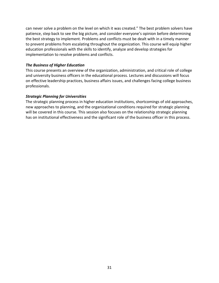can never solve a problem on the level on which it was created." The best problem solvers have patience, step back to see the big picture, and consider everyone's opinion before determining the best strategy to implement. Problems and conflicts must be dealt with in a timely manner to prevent problems from escalating throughout the organization. This course will equip higher education professionals with the skills to identify, analyze and develop strategies for implementation to resolve problems and conflicts.

# *The Business of Higher Education*

This course presents an overview of the organization, administration, and critical role of college and university business officers in the educational process. Lectures and discussions will focus on effective leadership practices, business affairs issues, and challenges facing college business professionals.

# *Strategic Planning for Universities*

The strategic planning process in higher education institutions, shortcomings of old approaches, new approaches to planning, and the organizational conditions required for strategic planning will be covered in this course. This session also focuses on the relationship strategic planning has on institutional effectiveness and the significant role of the business officer in this process.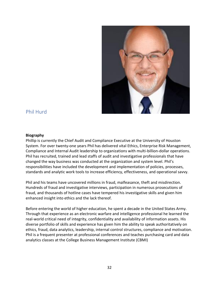<span id="page-31-0"></span>

# Phil Hurd

#### **Biography**

Phillip is currently the Chief Audit and Compliance Executive at the University of Houston System. For over twenty-one years Phil has delivered vital Ethics, Enterprise Risk Management, Compliance and Internal Audit leadership to organizations with multi-billion-dollar operations. Phil has recruited, trained and lead staffs of audit and investigative professionals that have changed the way business was conducted at the organization and system level. Phil's responsibilities have included the development and implementation of policies, processes, standards and analytic work tools to increase efficiency, effectiveness, and operational savvy.

Phil and his teams have uncovered millions in fraud, malfeasance, theft and misdirection. Hundreds of fraud and investigative interviews, participation in numerous prosecutions of fraud, and thousands of hotline cases have tempered his investigative skills and given him enhanced insight into ethics and the lack thereof.

Before entering the world of higher education, he spent a decade in the United States Army. Through that experience as an electronic warfare and intelligence professional he learned the real-world critical need of integrity, confidentiality and availability of information assets. His diverse portfolio of skills and experience has given him the ability to speak authoritatively on ethics, fraud, data analytics, leadership, internal control structures, compliance and motivation. Phil is a frequent presenter at professional conferences and teaches purchasing card and data analytics classes at the College Business Management Institute (CBMI)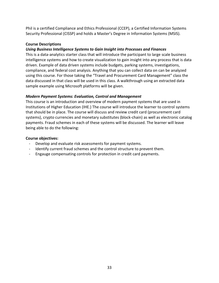Phil is a certified Compliance and Ethics Professional (CCEP), a Certified Information Systems Security Professional (CISSP) and holds a Master's Degree in Information Systems (MSIS).

# **Course Descriptions**

# *Using Business Intelligence Systems to Gain Insight into Processes and Finances*

This is a data-analytics starter class that will introduce the participant to large scale business intelligence systems and how to create visualization to gain insight into any process that is data driven. Example of data driven systems include budgets, parking systems, investigations, compliance, and federal cost analysis. Anything that you can collect data on can be analyzed using this course. For those taking the "Travel and Procurement Card Management" class the data discussed in that class will be used in this class. A walkthrough using an extracted data sample example using Microsoft platforms will be given.

# *Modern Payment Systems: Evaluation, Control and Management*

This course is an introduction and overview of modern payment systems that are used in Institutions of Higher Education (IHE.) The course will introduce the learner to control systems that should be in place. The course will discuss and review credit card (procurement card systems), crypto currencies and monetary substitutes (block-chain) as well as electronic catalog payments. Fraud schemes in each of these systems will be discussed. The learner will leave being able to do the following:

# **Course objectives:**

- Develop and evaluate risk assessments for payment systems.
- Identify current fraud schemes and the control structure to prevent them.
- Engauge compensating controls for protection in credit card payments.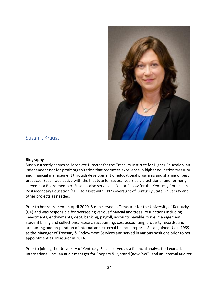<span id="page-33-0"></span>

# Susan I. Krauss

#### **Biography**

Susan currently serves as Associate Director for the Treasury Institute for Higher Education, an independent not for profit organization that promotes excellence in higher education treasury and financial management through development of educational programs and sharing of best practices. Susan was active with the Institute for several years as a practitioner and formerly served as a Board member. Susan is also serving as Senior Fellow for the Kentucky Council on Postsecondary Education (CPE) to assist with CPE's oversight of Kentucky State University and other projects as needed.

Prior to her retirement in April 2020, Susan served as Treasurer for the University of Kentucky (UK) and was responsible for overseeing various financial and treasury functions including investments, endowments, debt, banking, payroll, accounts payable, travel management, student billing and collections, research accounting, cost accounting, property records, and accounting and preparation of internal and external financial reports. Susan joined UK in 1999 as the Manager of Treasury & Endowment Services and served in various positions prior to her appointment as Treasurer in 2014.

Prior to joining the University of Kentucky, Susan served as a financial analyst for Lexmark International, Inc., an audit manager for Coopers & Lybrand (now PwC), and an internal auditor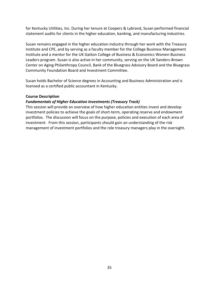for Kentucky Utilities, Inc. During her tenure at Coopers & Lybrand, Susan performed financial statement audits for clients in the higher education, banking, and manufacturing industries.

Susan remains engaged in the higher education industry through her work with the Treasury Institute and CPE, and by serving as a faculty member for the College Business Management Institute and a mentor for the UK Gatton College of Business & Economics Women Business Leaders program. Susan is also active in her community, serving on the UK Sanders-Brown Center on Aging Philanthropy Council, Bank of the Bluegrass Advisory Board and the Bluegrass Community Foundation Board and Investment Committee.

Susan holds Bachelor of Science degrees in Accounting and Business Administration and is licensed as a certified public accountant in Kentucky.

# **Course Description**

# *Fundamentals of Higher Education Investments (Treasury Track)*

This session will provide an overview of how higher education entities invest and develop investment policies to achieve the goals of short-term, operating reserve and endowment portfolios. The discussion will focus on the purpose, policies and execution of each area of investment. From this session, participants should gain an understanding of the risk management of investment portfolios and the role treasury managers play in the oversight.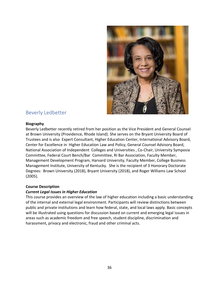<span id="page-35-0"></span>

# Beverly Ledbetter

# **Biography**

Beverly Ledbetter recently retired from her position as the Vice President and General Counsel at Brown University (Providence, Rhode Island). She serves on the Bryant University Board of Trustees and is also Expert Consultant, Higher Education Center, International Advisory Board, Center for Excellence in Higher Education Law and Policy, General Counsel Advisory Board, National Association of Independent Colleges and Universities , Co-Chair, University Symposia Committee, Federal Court Bench/Bar Committee, RI Bar Association, Faculty Member, Management Development Program, Harvard University, Faculty Member, College Business Management Institute, University of Kentucky. She is the recipient of 3 Honorary Doctorate Degrees: Brown University (2018), Bryant University (2018), and Roger Williams Law School (2005).

# **Course Description**

# *Current Legal Issues in Higher Education*

This course provides an overview of the law of higher education including a basic understanding of the internal and external legal environment. Participants will review distinctions between public and private institutions and learn how federal, state, and local laws apply. Basic concepts will be illustrated using questions for discussion based on current and emerging legal issues in areas such as academic freedom and free speech, student discipline, discrimination and harassment, privacy and electronic, fraud and other criminal acts.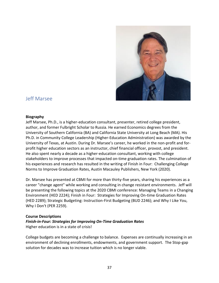

# <span id="page-36-0"></span>Jeff Marsee

#### **Biography**

Jeff Marsee, Ph.D., is a higher-education consultant, presenter, retired college president, author, and former Fulbright Scholar to Russia. He earned Economics degrees from the University of Southern California (BA) and California State University at Long Beach (MA). His Ph.D. in Community College Leadership (Higher-Education Administration) was awarded by the University of Texas, at Austin. During Dr. Marsee's career, he worked in the non-profit and forprofit higher education sectors as an instructor, chief financial officer, provost, and president. He also spent nearly a decade as a higher-education consultant, working with college stakeholders to improve processes that impacted on-time graduation rates. The culmination of his experiences and research has resulted in the writing of Finish in Four: Challenging College Norms to Improve Graduation Rates, Austin Macauley Publishers, New York (2020).

Dr. Marsee has presented at CBMI for more than thirty-five years, sharing his experiences as a career "change agent" while working and consulting in change resistant environments. Jeff will be presenting the following topics at the 2020 CBMI conference: Managing Teams in a Changing Environment (HED 2224); Finish in Four: Strategies for Improving On-time Graduation Rates (HED 2289); Strategic Budgeting: Instruction-First Budgeting (BUD 2246); and Why I Like You, Why I Don't (PER 2259).

# **Course Descriptions**

# *Finish-in-Four: Strategies for Improving On-Time Graduation Rates*  Higher education is in a state of crisis!

College budgets are becoming a challenge to balance. Expenses are continually increasing in an environment of declining enrollments, endowments, and government support. The Stop-gap solution for decades was to increase tuition which is no longer viable.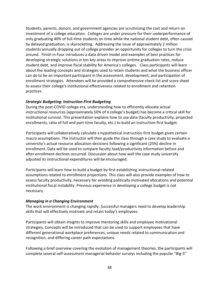Students, parents, donors, and government agencies are scrutinizing the cost and return on investment of a college education. Colleges are under pressure for their underperformance of only graduating 40% of full-time students on time while the national student debt, often caused by delayed graduation, is skyrocketing. Addressing the issue of approximately 2 million students annually dropping out of college provides an opportunity for colleges to turn the crisis around. Finish in Four introduces a data driven model and examples of best practices for developing strategic solutions in ten key areas to improve ontime graduation rates, reduce student debt, and improve fiscal stability for America's colleges. Class participants will learn about the leading concepts and strategies used to retain students and what the business officer can do to be an important participant in the assessment, development, and participation of enrollment strategies. Attendees will be provided a comprehensive check list and score sheet to assess their college's institutional effectiveness related to enrollment and retention practices.

# *Strategic Budgeting: Instruction-First Budgeting*

During the post-COVID college era, understanding how to efficiently allocate actual instructional resources (approximately 50% of a college's budget) has become a critical skill for institutional survival. This presentation explains how to use data (faculty productivity, projected enrollments, ratio of full and part-time faculty, etc.) to build an instruction-first budget.

Participants will collaboratively calculate a hypothetical instruction-first budget given certain macro assumptions. The instructor will then guide the class through a case study to evaluate a university's actual resource allocation decisions following a significant (25%) decline in enrollment. Data will be used to compare faculty load/productivity information before and after enrollment declines occurred. Discussion about how well the case study university adjusted its instructional expenditures will be encouraged.

Participants will learn how to build a budget by first establishing instructional-related assumptions related to enrollment projections. This class will also provide examples of how to assess faculty productivity, necessary for avoiding politically motivated allocations and potential institutional fiscal instability. Previous experience in developing a college budget is not necessary.

# *Managing in a Changing Environment*

The work environment is changing rapidly. Successful managers need to develop leadership skills that will effectively motivate and retain today's employees.

Participants will obtain insights to improve mentoring skills and employee motivational strategies. Concepts will be introduced that can be used to support employees that have different generational workplace preferences, unique needs related to communication and recognition, and differing career path expectations.

Following a brief overview covering the evolution of management theories, the participants will complete several self-assessment managerial behavior surveys including the popular "Big-5"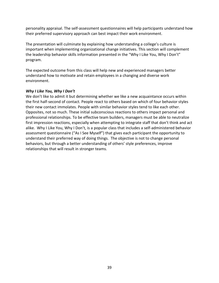personality appraisal. The self-assessment questionnaires will help participants understand how their preferred supervisory approach can best impact their work environment.

The presentation will culminate by explaining how understanding a college's culture is important when implementing organizational change initiatives. This section will complement the leadership behavior skills information presented in the "Why I Like You, Why I Don't" program.

The expected outcome from this class will help new and experienced managers better understand how to motivate and retain employees in a changing and diverse work environment.

# *Why I Like You, Why I Don't*

We don't like to admit it but determining whether we like a new acquaintance occurs within the first half-second of contact. People react to others based on which of four behavior styles their new contact immolates. People with similar behavior styles tend to like each other. Opposites, not so much. These initial subconscious reactions to others impact personal and professional relationships. To be effective team builders, managers must be able to neutralize first impression reactions, especially when attempting to integrate staff that don't think and act alike. Why I Like You, Why I Don't, is a popular class that includes a self-administered behavior assessment questionnaire ("As I See Myself") that gives each participant the opportunity to understand their preferred way of doing things. The objective is not to change personal behaviors, but through a better understanding of others' style preferences, improve relationships that will result in stronger teams.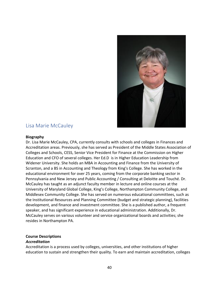<span id="page-39-0"></span>

# Lisa Marie McCauley

#### **Biography**

Dr. Lisa Marie McCauley, CPA, currently consults with schools and colleges in Finances and Accreditation areas. Previously, she has served as President of the Middle States Association of Colleges and Schools, CESS, Senior Vice President for Finance at the Commission on Higher Education and CFO of several colleges. Her Ed.D is in Higher Education Leadership from Widener University. She holds an MBA in Accounting and Finance from the University of Scranton, and a BS in Accounting and Theology from King's College. She has worked in the educational environment for over 25 years, coming from the corporate banking sector in Pennsylvania and New Jersey and Public Accounting / Consulting at Deloitte and Touché. Dr. McCauley has taught as an adjunct faculty member in lecture and online courses at the University of Maryland Global College, King's College, Northampton Community College, and Middlesex Community College. She has served on numerous educational committees, such as the Institutional Resources and Planning Committee (budget and strategic planning), facilities development, and finance and investment committee. She is a published author, a frequent speaker, and has significant experience in educational administration. Additionally, Dr. McCauley serves on various volunteer and service organizational boards and activities; she resides in Northampton PA.

# **Course Descriptions**

# *Accreditation*

Accreditation is a process used by colleges, universities, and other institutions of higher education to sustain and strengthen their quality. To earn and maintain accreditation, colleges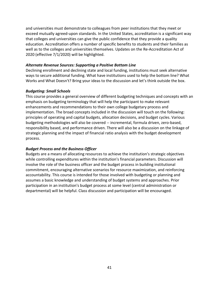and universities must demonstrate to colleagues from peer institutions that they meet or exceed mutually agreed-upon standards. In the United States, accreditation is a significant way that colleges and universities can give the public confidence that they provide a quality education. Accreditation offers a number of specific benefits to students and their families as well as to the colleges and universities themselves. Updates on the Re-Accreditation Act of 2020 (effective 7/1/2020) will be highlighted.

# *Alternate Revenue Sources: Supporting a Positive Bottom Line*

Declining enrollment and declining state and local funding, institutions must seek alternative ways to secure additional funding. What have institutions used to help the bottom line? What Works and What Doesn't? Bring your ideas to the discussion and let's think outside the box.

#### *Budgeting: Small Schools*

This course provides a general overview of different budgeting techniques and concepts with an emphasis on budgeting terminology that will help the participant to make relevant enhancements and recommendations to their own college budgetary process and implementation. The broad concepts included in the discussion will touch on the following: principles of operating and capital budgets, allocation decisions, and budget cycles. Various budgeting methodologies will also be covered -- incremental, formula driven, zero-based, responsibility based, and performance driven. There will also be a discussion on the linkage of strategic planning and the impact of financial ratio analysis with the budget development process.

# *Budget Process and the Business Officer*

Budgets are a means of allocating resources to achieve the institution's strategic objectives while controlling expenditures within the institution's financial parameters. Discussion will involve the role of the business officer and the budget process in building institutional commitment, encouraging alternative scenarios for resource maximization, and reinforcing accountability. This course is intended for those involved with budgeting or planning and assumes a basic knowledge and understanding of budget systems and approaches. Prior participation in an institution's budget process at some level (central administration or departmental) will be helpful. Class discussion and participation will be encouraged.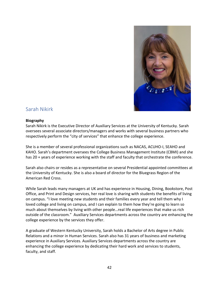

# <span id="page-41-0"></span>Sarah Nikirk

# **Biography**

Sarah Nikirk is the Executive Director of Auxiliary Services at the University of Kentucky. Sarah oversees several associate directors/managers and works with several business partners who respectively perform the "city of services" that enhance the college experience.

She is a member of several professional organizations such as NACAS, ACUHO-I, SEAHO and KAHO. Sarah's department oversees the College Business Management Institute (CBMI) and she has 20 + years of experience working with the staff and faculty that orchestrate the conference.

Sarah also chairs or resides as a representative on several Presidential appointed committees at the University of Kentucky. She is also a board of director for the Bluegrass Region of the American Red Cross.

While Sarah leads many managers at UK and has experience in Housing, Dining, Bookstore, Post Office, and Print and Design services, her real love is sharing with students the benefits of living on campus. "I love meeting new students and their families every year and tell them why I loved college and living on campus, and I can explain to them how they're going to learn so much about themselves by living with other people…real life experiences that make us rich outside of the classroom." Auxiliary Services departments across the country are enhancing the college experience by the services they offer.

A graduate of Western Kentucky University, Sarah holds a Bachelor of Arts degree in Public Relations and a minor in Human Services. Sarah also has 31 years of business and marketing experience in Auxiliary Services. Auxiliary Services departments across the country are enhancing the college experience by dedicating their hard work and services to students, faculty, and staff.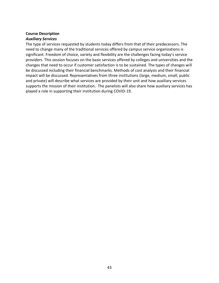# **Course Description**  *Auxiliary Services*

The type of services requested by students today differs from that of their predecessors. The need to change many of the traditional services offered by campus service organizations is significant. Freedom of choice, variety and flexibility are the challenges facing today's service providers. This session focuses on the basic services offered by colleges and universities and the changes that need to occur if customer satisfaction is to be sustained. The types of changes will be discussed including their financial benchmarks. Methods of cost analysis and their financial impact will be discussed. Representatives from three institutions (large, medium, small; public and private) will describe what services are provided by their unit and how auxiliary services supports the mission of their institution.  The panelists will also share how auxiliary services has played a role in supporting their institution during COVID-19.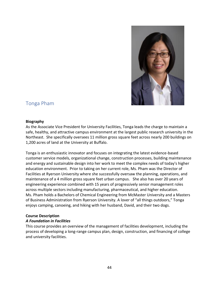

# <span id="page-43-0"></span>Tonga Pham

#### **Biography**

As the Associate Vice President for University Facilities, Tonga leads the charge to maintain a safe, healthy, and attractive campus environment at the largest public research university in the Northeast.  She specifically oversees 11 million gross square feet across nearly 200 buildings on 1,200 acres of land at the University at Buffalo. 

Tonga is an enthusiastic innovator and focuses on integrating the latest evidence-based customer service models, organizational change, construction processes, building maintenance and energy and sustainable design into her work to meet the complex needs of today's higher education environment. Prior to taking on her current role, Ms. Pham was the Director of Facilities at Ryerson University where she successfully oversaw the planning, operations, and maintenance of a 4 million gross square feet urban campus.   She also has over 20 years of engineering experience combined with 15 years of progressively senior management roles across multiple sectors including manufacturing, pharmaceutical, and higher education. Ms. Pham holds a Bachelors of Chemical Engineering from McMaster University and a Masters of Business Administration from Ryerson University. A lover of "all things outdoors," Tonga enjoys camping, canoeing, and hiking with her husband, David, and their two dogs.

#### **Course Description**

# *A Foundation in Facilities*

This course provides an overview of the management of facilities development, including the process of developing a long-range campus plan, design, construction, and financing of college and university facilities.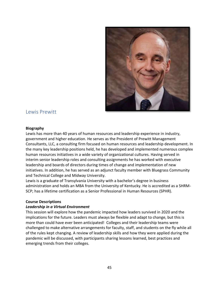<span id="page-44-0"></span>

# Lewis Prewitt

#### **Biography**

Lewis has more than 40 years of human resources and leadership experience in industry, government and higher education. He serves as the President of Prewitt Management Consultants, LLC, a consulting firm focused on human resources and leadership development. In the many key leadership positions held, he has developed and implemented numerous complex human resources initiatives in a wide variety of organizational cultures. Having served in interim senior leadership roles and consulting assignments he has worked with executive leadership and boards of directors during times of change and implementation of new initiatives. In addition, he has served as an adjunct faculty member with Bluegrass Community and Technical College and Midway University.

Lewis is a graduate of Transylvania University with a bachelor's degree in business administration and holds an MBA from the University of Kentucky. He is accredited as a SHRM-SCP; has a lifetime certification as a Senior Professional in Human Resources (SPHR).

# **Course Descriptions**

# *Leadership in a Virtual Environment*

This session will explore how the pandemic impacted how leaders survived in 2020 and the implications for the future. Leaders must always be flexible and adapt to change, but this is more than could have ever been anticipated! Colleges and their leadership teams were challenged to make alternative arrangements for faculty, staff, and students on the fly while all of the rules kept changing. A review of leadership skills and how they were applied during the pandemic will be discussed, with participants sharing lessons learned, best practices and emerging trends from their colleges.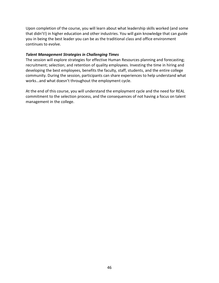Upon completion of the course, you will learn about what leadership skills worked (and some that didn't!) in higher education and other industries. You will gain knowledge that can guide you in being the best leader you can be as the traditional class and office environment continues to evolve.

# *Talent Management Strategies in Challenging Times*

The session will explore strategies for effective Human Resources planning and forecasting; recruitment; selection; and retention of quality employees. Investing the time in hiring and developing the best employees, benefits the faculty, staff, students, and the entire college community. During the session, participants can share experiences to help understand what works…and what doesn't throughout the employment cycle.

At the end of this course, you will understand the employment cycle and the need for REAL commitment to the selection process, and the consequences of not having a focus on talent management in the college.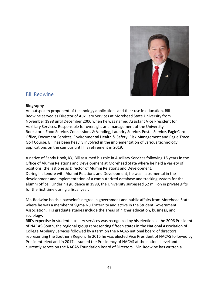

# <span id="page-46-0"></span>Bill Redwine

#### **Biography**

An outspoken proponent of technology applications and their use in education, Bill Redwine served as Director of Auxiliary Services at Morehead State University from November 1998 until December 2006 when he was named Assistant Vice President for Auxiliary Services. Responsible for oversight and management of the University Bookstore, Food Service, Concessions & Vending, Laundry Service, Postal Service, EagleCard Office, Document Services, Environmental Health & Safety, Risk Management and Eagle Trace Golf Course, Bill has been heavily involved in the implementation of various technology applications on the campus until his retirement in 2019.

A native of Sandy Hook, KY, Bill assumed his role in Auxiliary Services following 15 years in the Office of Alumni Relations and Development at Morehead State where he held a variety of positions, the last one as Director of Alumni Relations and Development. During his tenure with Alumni Relations and Development, he was instrumental in the development and implementation of a computerized database and tracking system for the alumni office. Under his guidance in 1998, the University surpassed \$2 million in private gifts for the first time during a fiscal year.

Mr. Redwine holds a bachelor's degree in government and public affairs from Morehead State where he was a member of Sigma Nu Fraternity and active in the Student Government Association. His graduate studies include the areas of higher education, business, and sociology.

Bill's expertise in student auxiliary services was recognized by his election as the 2006 President of NACAS-South, the regional group representing fifteen states in the National Association of College Auxiliary Services followed by a term on the NACAS national board of directors representing the Southern Region. In 2015 he was elected Vice President of NACAS followed by President-elect and in 2017 assumed the Presidency of NACAS at the national level and currently serves on the NACAS Foundation Board of Directors. Mr. Redwine has written a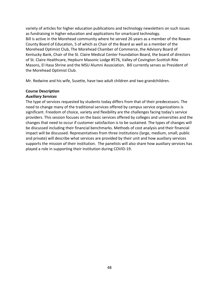variety of articles for higher education publications and technology newsletters on such issues as fundraising in higher education and applications for smartcard technology. Bill is active in the Morehead community where he served 26 years as a member of the Rowan County Board of Education, 5 of which as Chair of the Board as well as a member of the Morehead Optimist Club, The Morehead Chamber of Commerce, the Advisory Board of Kentucky Bank, Chair of the St. Claire Medical Center Foundation Board, the board of directors of St. Claire Healthcare, Hepburn Masonic Lodge #576, Valley of Covington Scottish Rite Masons, El Hasa Shrine and the MSU Alumni Association. Bill currently serves as President of the Morehead Optimist Club.

Mr. Redwine and his wife, Susette, have two adult children and two grandchildren.

# **Course Description**

# *Auxiliary Services*

The type of services requested by students today differs from that of their predecessors. The need to change many of the traditional services offered by campus service organizations is significant. Freedom of choice, variety and flexibility are the challenges facing today's service providers. This session focuses on the basic services offered by colleges and universities and the changes that need to occur if customer satisfaction is to be sustained. The types of changes will be discussed including their financial benchmarks. Methods of cost analysis and their financial impact will be discussed. Representatives from three institutions (large, medium, small; public and private) will describe what services are provided by their unit and how auxiliary services supports the mission of their institution. The panelists will also share how auxiliary services has played a role in supporting their institution during COVID-19.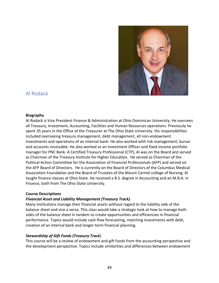

# <span id="page-48-0"></span>Al Rodack

# **Biography**

Al Rodack is Vice President Finance & Administration at Ohio Dominican University. He oversees all Treasury, Investment, Accounting, Facilities and Human Resources operations. Previously he spent 35 years in the Office of the Treasurer at The Ohio State University. His responsibilities included overseeing treasury management, debt management, all non-endowment investments and operations of an internal bank. He also worked with risk management, bursar and accounts receivable. He also worked as an Investment Officer and fixed income portfolio manager for PNC Bank. A Certified Treasury Professional (CTP), Al was on the Board and served as Chairman of the Treasury Institute for Higher Education.  He served as Chairman of the Political Action Committee for the Association of Financial Professionals (AFP) and served on the AFP Board of Directors.  He is currently on the Board of Directors of the Columbus Medical Association Foundation and the Board of Trustees of the Mount Carmel college of Nursing. Al taught finance classes at Ohio State. He received a B.S. degree in Accounting and an M.B.A. in Finance, both from The Ohio State University.

# **Course Descriptions**

# *Financial Asset and Liability Management (Treasury Track)*

Many institutions manage their financial assets without regard to the liability side of the balance sheet and vice a versa. This class would take a strategic look at how to manage both sides of the balance sheet in tandem to create opportunities and efficiencies in financial performance. Topics would include cash flow forecasting, matching investments with debt, creation of an internal bank and longer-term financial planning.

# *Stewardship of Gift Funds (Treasury Track*)

This course will be a review of endowment and gift funds from the accounting perspective and the development perspective. Topics include similarities and differences between endowment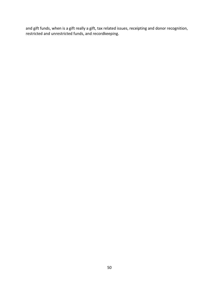and gift funds, when is a gift really a gift, tax related issues, receipting and donor recognition, restricted and unrestricted funds, and recordkeeping.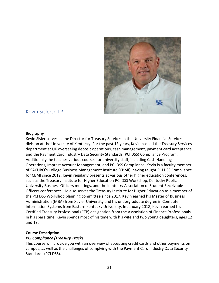<span id="page-50-0"></span>

# Kevin Sisler, CTP

#### **Biography**

Kevin Sisler serves as the Director for Treasury Services in the University Financial Services division at the University of Kentucky. For the past 13 years, Kevin has led the Treasury Services department at UK overseeing deposit operations, cash management, payment card acceptance and the Payment Card Industry Data Security Standards (PCI DSS) Compliance Program. Additionally, he teaches various courses for university staff, including Cash Handling Operations, Imprest Account Management, and PCI DSS Compliance. Kevin is a faculty member of SACUBO's College Business Management Institute (CBMI), having taught PCI DSS Compliance for CBMI since 2012. Kevin regularly presents at various other higher education conferences, such as the Treasury Institute for Higher Education PCI DSS Workshop, Kentucky Public University Business Officers meetings, and the Kentucky Association of Student Receivable Officers conferences. He also serves the Treasury Institute for Higher Education as a member of the PCI DSS Workshop planning committee since 2017. Kevin earned his Master of Business Administration (MBA) from Xavier University and his undergraduate degree in Computer Information Systems from Eastern Kentucky University. In January 2018, Kevin earned his Certified Treasury Professional (CTP) designation from the Association of Finance Professionals. In his spare time, Kevin spends most of his time with his wife and two young daughters, ages 12 and 19.

# **Course Description**

# *PCI Compliance (Treasury Track*)

This course will provide you with an overview of accepting credit cards and other payments on campus, as well as the challenges of complying with the Payment Card Industry Data Security Standards (PCI DSS).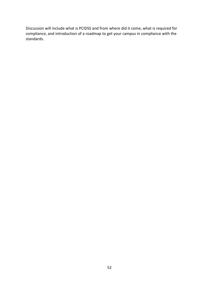Discussion will include what is PCIDSS and from where did it come, what is required for compliance, and introduction of a roadmap to get your campus in compliance with the standards.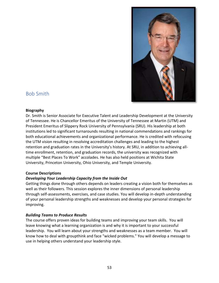

# <span id="page-52-0"></span>Bob Smith

# **Biography**

Dr. Smith is Senior Associate for Executive Talent and Leadership Development at the University of Tennessee. He is Chancellor Emeritus of the University of Tennessee at Martin (UTM) and President Emeritus of Slippery Rock University of Pennsylvania (SRU). His leadership at both institutions led to significant turnarounds resulting in national commendations and rankings for both educational achievements and organizational performance. He is credited with refocusing the UTM vision resulting in resolving accreditation challenges and leading to the highest retention and graduation rates in the University's history. At SRU, in addition to achieving alltime enrollment, retention, and graduation records, the university was recognized with multiple "Best Places To Work" accolades. He has also held positions at Wichita State University, Princeton University, Ohio University, and Temple University.

# **Course Descriptions**

# *Developing Your Leadership Capacity from the Inside Out*

Getting things done through others depends on leaders creating a vision both for themselves as well as their followers. This session explores the inner dimensions of personal leadership through self-assessments, exercises, and case studies. You will develop in-depth understanding of your personal leadership strengths and weaknesses and develop your personal strategies for improving.

# *Building Teams to Produce Results*

The course offers proven ideas for building teams and improving your team skills. You will leave knowing what a learning organization is and why it is important to your successful leadership. You will learn about your strengths and weaknesses as a team member. You will know how to deal with groupthink and face "wicked problems." You will develop a message to use in helping others understand your leadership style.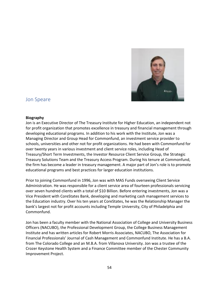

# <span id="page-53-0"></span>Jon Speare

#### **Biography**

Jon is an Executive Director of The Treasury Institute for Higher Education, an independent not for profit organization that promotes excellence in treasury and financial management through developing educational programs. In addition to his work with the Institute, Jon was a Managing Director and Group Head for Commonfund, an investment service provider to schools, universities and other not for profit organizations. He had been with Commonfund for over twenty years in various investment and client service roles, including Head of Treasury/Short Term Investments, the Investor Resource Client Service Group, the Strategic Treasury Solutions Team and the Treasury Access Program. During his tenure at Commonfund, the firm has become a leader in treasury management. A major part of Jon's role is to promote educational programs and best practices for larger education institutions.

Prior to joining Commonfund in 1996, Jon was with MAS Funds overseeing Client Service Administration. He was responsible for a client service area of fourteen professionals servicing over seven hundred clients with a total of \$10 Billion. Before entering investments, Jon was a Vice President with CoreStates Bank, developing and marketing cash management services to the Education industry. Over his ten years at CoreStates, he was the Relationship Manager the bank's largest not for profit accounts including Temple University, City of Philadelphia and Commonfund.

Jon has been a faculty member with the National Association of College and University Business Officers (NACUBO), the Professional Development Group, the College Business Management Institute and has written articles for Robert Morris Associates, NACUBO, The Association for Financial Professionals' Journal of Cash Management and Commonfund Institute. He has a B.A. from The Colorado College and an M.B.A. from Villanova University. Jon was a trustee of the Crozer Keystone Health System and a Finance Committee member of the Chester Community Improvement Project.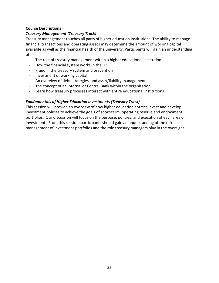# **Course Descriptions**

# *Treasury Management (Treasury Track)*

Treasury management touches all parts of higher education institutions. The ability to manage financial transactions and operating assets may determine the amount of working capital available as well as the financial health of the university. Participants will gain an understanding of:

- The role of treasury management within a higher educational institution
- How the financial system works in the U.S.
- Fraud in the treasury system and prevention
- Investment of working capital
- An overview of debt strategies, and asset/liability management
- The concept of an Internal or Central Bank within the organization
- Learn how treasury processes interact with entire educational institutions

# *Fundamentals of Higher Education Investments (Treasury Track)*

This session will provide an overview of how higher education entities invest and develop investment policies to achieve the goals of short-term, operating reserve and endowment portfolios. Our discussion will focus on the purpose, policies, and execution of each area of investment. From this session, participants should gain an understanding of the risk management of investment portfolios and the role treasury managers play in the oversight.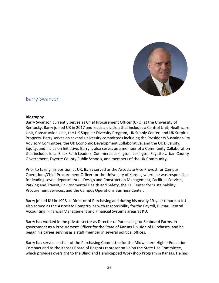

# <span id="page-55-0"></span>Barry Swanson

#### **Biography**

Barry Swanson currently serves as Chief Procurement Officer (CPO) at the University of Kentucky. Barry joined UK in 2017 and leads a division that includes a Central Unit, Healthcare Unit, Construction Unit, the UK Supplier Diversity Program, UK Supply Center, and UK Surplus Property. Barry serves on several university committees including the Presidents Sustainability Advisory Committee, the UK Economic Development Collaborative, and the UK Diversity, Equity, and Inclusion Initiative. Barry is also serves as a member of a Community Collaboration that includes local Black Faith Leaders, Commerce Lexington, Lexington Fayette Urban County Government, Fayette County Public Schools, and members of the UK Community.

Prior to taking his position at UK, Barry served as the Associate Vice Provost for Campus Operations/Chief Procurement Officer for the University of Kansas, where he was responsible for leading seven departments – Design and Construction Management, Facilities Services, Parking and Transit, Environmental Health and Safety, the KU Center for Sustainability, Procurement Services, and the Campus Operations Business Center.

Barry joined KU in 1998 as Director of Purchasing and during his nearly 19-year tenure at KU also served as the Associate Comptroller with responsibility for the Payroll, Bursar, Central Accounting, Financial Management and Financial Systems areas at KU.

Barry has worked in the private sector as Director of Purchasing for Seaboard Farms, in government as a Procurement Officer for the State of Kansas Division of Purchases, and he began his career serving as a staff member in several political offices.

Barry has served as chair of the Purchasing Committee for the Midwestern Higher Education Compact and as the Kansas Board of Regents representative on the State Use Committee, which provides oversight to the Blind and Handicapped Workshop Program in Kansas. He has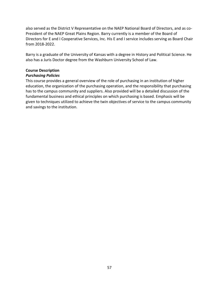also served as the District V Representative on the NAEP National Board of Directors, and as co-President of the NAEP Great Plains Region. Barry currently is a member of the Board of Directors for E and I Cooperative Services, Inc. His E and I service includes serving as Board Chair from 2018-2022.

Barry is a graduate of the University of Kansas with a degree in History and Political Science. He also has a Juris Doctor degree from the Washburn University School of Law.

# **Course Description**

# *Purchasing Policies*

This course provides a general overview of the role of purchasing in an institution of higher education, the organization of the purchasing operation, and the responsibility that purchasing has to the campus community and suppliers. Also provided will be a detailed discussion of the fundamental business and ethical principles on which purchasing is based. Emphasis will be given to techniques utilized to achieve the twin objectives of service to the campus community and savings to the institution.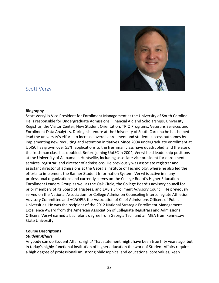

# <span id="page-57-0"></span>Scott Verzyl

#### **Biography**

Scott Verzyl is Vice President for Enrollment Management at the University of South Carolina. He is responsible for Undergraduate Admissions, Financial Aid and Scholarships, University Registrar, the Visitor Center, New Student Orientation, TRIO Programs, Veterans Services and Enrollment Data Analytics. During his tenure at the University of South Carolina he has helped lead the university's efforts to increase overall enrollment and student success outcomes by implementing new recruiting and retention initiatives. Since 2004 undergraduate enrollment at UofSC has grown over 55%, applications to the freshman class have quadrupled, and the size of the freshman class has doubled. Before joining UofSC in 2004, Verzyl held leadership positions at the University of Alabama in Huntsville, including associate vice president for enrollment services, registrar, and director of admissions. He previously was associate registrar and assistant director of admissions at the Georgia Institute of Technology, where he also led the efforts to implement the Banner Student Information System. Verzyl is active in many professional organizations and currently serves on the College Board's Higher Education Enrollment Leaders Group as well as the Oak Circle, the College Board's advisory council for prior members of its Board of Trustees, and EAB's Enrollment Advisory Council. He previously served on the National Association for College Admission Counseling Intercollegiate Athletics Advisory Committee and ACAOPU, the Association of Chief Admissions Officers of Public Universities. He was the recipient of the 2012 National Strategic Enrollment Management Excellence Award from the American Association of Collegiate Registrars and Admissions Officers. Verzyl earned a bachelor's degree from Georgia Tech and an MBA from Kennesaw State University.

# **Course Descriptions**

# *Student Affairs*

Anybody can do Student Affairs, right? That statement might have been true fifty years ago, but in today's highly-functional institution of higher education the work of Student Affairs requires a high degree of professionalism; strong philosophical and educational core values; keen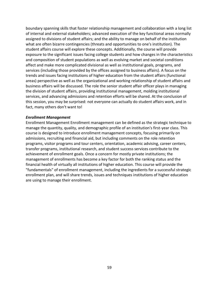boundary spanning skills that foster relationship management and collaboration with a long list of internal and external stakeholders; advanced execution of the key functional areas normally assigned to divisions of student affairs; and the ability to manage on behalf of the institution what are often bizarre contingencies (threats and opportunities to one's institution). The student affairs course will explore these concepts. Additionally, the course will provide exposure to the significant issues facing college students and how changes in the characteristics and composition of student populations as well as evolving market and societal conditions affect and make more complicated divisional as well as institutional goals, programs, and services (including those provided by the offices assigned to business affairs). A focus on the trends and issues facing institutions of higher education from the student affairs (functional areas) perspective as well as the organizational and working relationship of student affairs and business affairs will be discussed. The role the senior student affair officer plays in managing the division of student affairs, providing institutional management, molding institutional services, and advancing admissions and retention efforts will be shared. At the conclusion of this session, you may be surprised: not everyone can actually do student affairs work, and in fact, many others don't want to!

#### *Enrollment Management*

Enrollment Management Enrollment management can be defined as the strategic technique to manage the quantity, quality, and demographic profile of an institution's first-year class. This course is designed to introduce enrollment management concepts, focusing primarily on admissions, recruiting and financial aid, but including comments on the role retention programs, visitor programs and tour centers, orientation, academic advising, career centers, transfer programs, institutional research, and student success services contribute to the achievement of enrollment goals. Once a concern for mostly private institutions; the management of enrollments has become a key factor for both the ranking status and the financial health of virtually all institutions of higher education. This course will provide the "fundamentals" of enrollment management, including the ingredients for a successful strategic enrollment plan, and will share trends, issues and techniques institutions of higher education are using to manage their enrollment.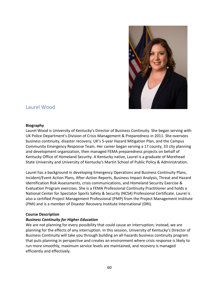

# <span id="page-59-0"></span>Laurel Wood

#### **Biography**

Laurel Wood is University of Kentucky's Director of Business Continuity. She began serving with UK Police Department's Division of Crisis Management & Preparedness in 2011. She oversees business continuity, disaster recovery, UK's 5-year Hazard Mitigation Plan, and the Campus Community Emergency Response Team. Her career began serving a 17 county, 33 city planning and development organization, then managed FEMA preparedness projects on behalf of Kentucky Office of Homeland Security. A Kentucky native, Laurel is a graduate of Morehead State University and University of Kentucky's Martin School of Public Policy & Administration.

Laurel has a background in developing Emergency Operations and Business Continuity Plans, Incident/Event Action Plans, After-Action Reports, Business Impact Analysis, Threat and Hazard Identification Risk Assessments, crisis communications, and Homeland Security Exercise & Evaluation Program exercises. She is a FEMA Professional Continuity Practitioner and holds a National Center for Spectator Sports Safety & Security (NCS4) Professional Certificate. Laurel is also a certified Project Management Professional (PMP) from the Project Management Institute (PMI) and is a member of Disaster Recovery Institute International (DRI).

# **Course Description**

# *Business Continuity for Higher Education*

We are not planning for every possibility that could cause an interruption; instead, we are planning for the effects of any interruption. In this session, University of Kentucky's Director of Business Continuity will take you through building an all-hazards business continuity program that puts planning in perspective and creates an environment where crisis response is likely to run more smoothly, maximum service levels are maintained, and recovery is managed efficiently and effectively.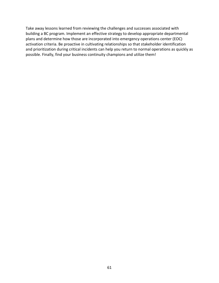Take away lessons learned from reviewing the challenges and successes associated with building a BC program. Implement an effective strategy to develop appropriate departmental plans and determine how those are incorporated into emergency operations center (EOC) activation criteria. Be proactive in cultivating relationships so that stakeholder identification and prioritization during critical incidents can help you return to normal operations as quickly as possible. Finally, find your business continuity champions and utilize them!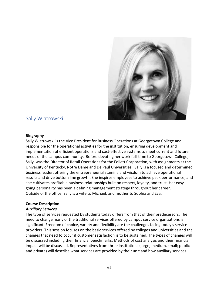<span id="page-61-0"></span>

# Sally Wiatrowski

#### **Biography**

Sally Wiatrowski is the Vice President for Business Operations at Georgetown College and responsible for the operational activities for the institution, ensuring development and implementation of efficient operations and cost-effective systems to meet current and future needs of the campus community. Before devoting her work full-time to Georgetown College, Sally, was the Director of Retail Operations for the Follett Corporation, with assignments at the University of Kentucky, Notre Dame and De Paul Universities. Sally is a focused and determined business leader, offering the entrepreneurial stamina and wisdom to achieve operational results and drive bottom line growth. She inspires employees to achieve peak performance, and she cultivates profitable business relationships built on respect, loyalty, and trust. Her easygoing personality has been a defining management strategy throughout her career. Outside of the office, Sally is a wife to Michael, and mother to Sophia and Eva.

# **Course Description**

# *Auxiliary Services*

The type of services requested by students today differs from that of their predecessors. The need to change many of the traditional services offered by campus service organizations is significant. Freedom of choice, variety and flexibility are the challenges facing today's service providers. This session focuses on the basic services offered by colleges and universities and the changes that need to occur if customer satisfaction is to be sustained. The types of changes will be discussed including their financial benchmarks. Methods of cost analysis and their financial impact will be discussed. Representatives from three institutions (large, medium, small; public and private) will describe what services are provided by their unit and how auxiliary services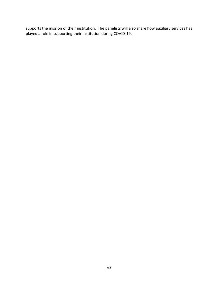supports the mission of their institution.  The panelists will also share how auxiliary services has played a role in supporting their institution during COVID-19.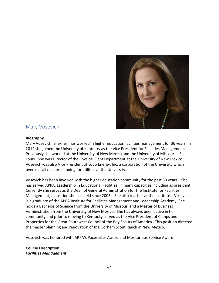

# <span id="page-63-0"></span>Mary Vosevich

# **Biography**

Mary Vosevich (she/her) has worked in higher education facilities management for 36 years. In 2014 she joined the University of Kentucky as the Vice President for Facilities Management. Previously she worked at the University of New Mexico and the University of Missouri – St. Louis. She was Director of the Physical Plant Department at the University of New Mexico. Vosevich was also Vice President of Lobo Energy, Inc. a corporation of the University which oversees all master planning for utilities at the University.

Vosevich has been involved with the higher education community for the past 30 years. She has served APPA, Leadership in Educational Facilities, in many capacities including as president. Currently she serves as the Dean of General Administration for the Institute for Facilities Management; a position she has held since 2003. She also teaches at the Institute. Vosevich is a graduate of the APPA Institute for Facilities Management and Leadership Academy. She holds a Bachelor of Science from the University of Missouri and a Master of Business Administration from the University of New Mexico. She has always been active in her community and prior to moving to Kentucky served as the Vice President of Camps and Properties for the Great Southwest Council of the Boy Scouts of America. This position directed the master planning and renovation of the Gorham Scout Ranch in New Mexico.

Vosevich was honored with APPA's Pacesetter Award and Meritorious Service Award.

# **Course Description** *Facilities Management*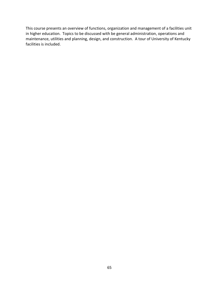This course presents an overview of functions, organization and management of a facilities unit in higher education. Topics to be discussed with be general administration, operations and maintenance, utilities and planning, design, and construction. A tour of University of Kentucky facilities is included.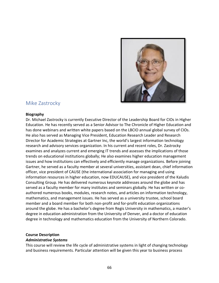

# <span id="page-65-0"></span>Mike Zastrocky

#### **Biography**

Dr. Michael Zastrocky is currently Executive Director of the Leadership Board for CIOs in Higher Education. He has recently served as a Senior Advisor to The Chronicle of Higher Education and has done webinars and written white papers based on the LBCIO annual global survey of CIOs. He also has served as Managing Vice President, Education Research Leader and Research Director for Academic Strategies at Gartner Inc, the world's largest information technology research and advisory services organization. In his current and recent roles, Dr. Zastrocky examines and analyzes current and emerging IT trends and assesses the implications of those trends on educational institutions globally; He also examines higher education management issues and how institutions can effectively and efficiently manage organizations. Before joining Gartner, he served as a faculty member at several universities, assistant dean, chief information officer, vice president of CAUSE (the international association for managing and using information resources in higher education, now EDUCAUSE), and vice president of the Kaludis Consulting Group. He has delivered numerous keynote addresses around the globe and has served as a faculty member for many institutes and seminars globally. He has written or coauthored numerous books, modules, research notes, and articles on information technology, mathematics, and management issues. He has served as a university trustee, school board member and a board member for both non-profit and for-profit education organizations around the globe. He has a bachelor's degree from Regis University in mathematics, a master's degree in education administration from the University of Denver, and a doctor of education degree in technology and mathematics education from the University of Northern Colorado.

# **Course Description**

#### *Administrative Systems*

This course will review the life cycle of administrative systems in light of changing technology and business requirements. Particular attention will be given this year to business process